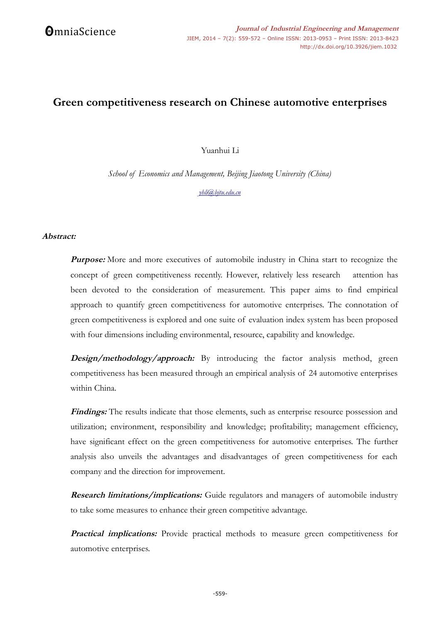# **Green competitiveness research on Chinese automotive enterprises**

Yuanhui Li

*School of Economics and Management, Beijing Jiaotong University (China)*

*[yhli@bjtu.edu.cn](mailto:yhli@bjtu.edu.cn)*

## **Abstract:**

**Purpose:** More and more executives of automobile industry in China start to recognize the concept of green competitiveness recently. However, relatively less research attention has been devoted to the consideration of measurement. This paper aims to find empirical approach to quantify green competitiveness for automotive enterprises. The connotation of green competitiveness is explored and one suite of evaluation index system has been proposed with four dimensions including environmental, resource, capability and knowledge.

**Design/methodology/approach:** By introducing the factor analysis method, green competitiveness has been measured through an empirical analysis of 24 automotive enterprises within China.

Findings: The results indicate that those elements, such as enterprise resource possession and utilization; environment, responsibility and knowledge; profitability; management efficiency, have significant effect on the green competitiveness for automotive enterprises. The further analysis also unveils the advantages and disadvantages of green competitiveness for each company and the direction for improvement.

**Research limitations/implications:** Guide regulators and managers of automobile industry to take some measures to enhance their green competitive advantage.

**Practical implications:** Provide practical methods to measure green competitiveness for automotive enterprises.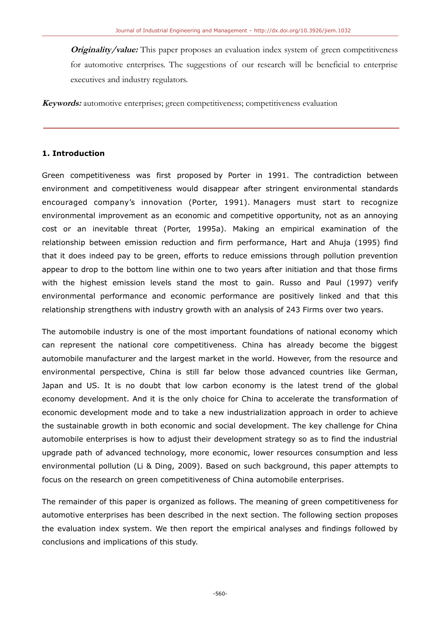**Originality/value:** This paper proposes an evaluation index system of green competitiveness for automotive enterprises. The suggestions of our research will be beneficial to enterprise executives and industry regulators.

**Keywords:** automotive enterprises; green competitiveness; competitiveness evaluation

## **1. Introduction**

Green competitiveness was first proposed by Porter in 1991. The contradiction between environment and competitiveness would disappear after stringent environmental standards encouraged company's innovation (Porter, 1991). Managers must start to recognize environmental improvement as an economic and competitive opportunity, not as an annoying cost or an inevitable threat (Porter, 1995a). Making an empirical examination of the relationship between emission reduction and firm performance, Hart and Ahuja (1995) find that it does indeed pay to be green, efforts to reduce emissions through pollution prevention appear to drop to the bottom line within one to two years after initiation and that those firms with the highest emission levels stand the most to gain. Russo and Paul (1997) verify environmental performance and economic performance are positively linked and that this relationship strengthens with industry growth with an analysis of 243 Firms over two years.

The automobile industry is one of the most important foundations of national economy which can represent the national core competitiveness. China has already become the biggest automobile manufacturer and the largest market in the world. However, from the resource and environmental perspective, China is still far below those advanced countries like German, Japan and US. It is no doubt that low carbon economy is the latest trend of the global economy development. And it is the only choice for China to accelerate the transformation of economic development mode and to take a new industrialization approach in order to achieve the sustainable growth in both economic and social development. The key challenge for China automobile enterprises is how to adjust their development strategy so as to find the industrial upgrade path of advanced technology, more economic, lower resources consumption and less environmental pollution (Li & Ding, 2009). Based on such background, this paper attempts to focus on the research on green competitiveness of China automobile enterprises.

The remainder of this paper is organized as follows. The meaning of green competitiveness for automotive enterprises has been described in the next section. The following section proposes the evaluation index system. We then report the empirical analyses and findings followed by conclusions and implications of this study.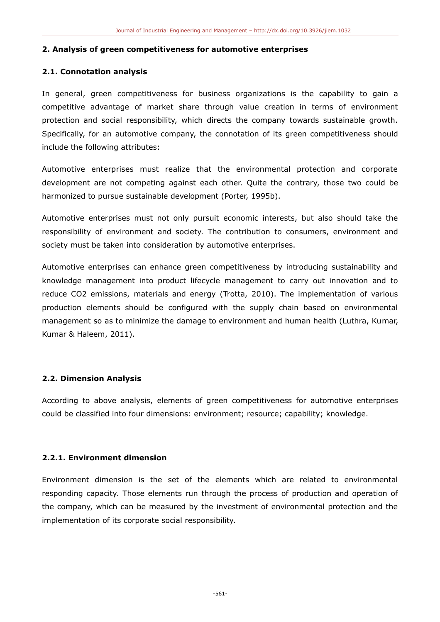#### **2. Analysis of green competitiveness for automotive enterprises**

## **2.1. Connotation analysis**

In general, green competitiveness for business organizations is the capability to gain a competitive advantage of market share through value creation in terms of environment protection and social responsibility, which directs the company towards sustainable growth. Specifically, for an automotive company, the connotation of its green competitiveness should include the following attributes:

Automotive enterprises must realize that the environmental protection and corporate development are not competing against each other. Quite the contrary, those two could be harmonized to pursue sustainable development (Porter, 1995b).

Automotive enterprises must not only pursuit economic interests, but also should take the responsibility of environment and society. The contribution to consumers, environment and society must be taken into consideration by automotive enterprises.

Automotive enterprises can enhance green competitiveness by introducing sustainability and knowledge management into product lifecycle management to carry out innovation and to reduce CO2 emissions, materials and energy (Trotta, 2010). The implementation of various production elements should be configured with the supply chain based on environmental management so as to minimize the damage to environment and human health (Luthra, Kumar, Kumar & Haleem, 2011).

## **2.2. Dimension Analysis**

According to above analysis, elements of green competitiveness for automotive enterprises could be classified into four dimensions: environment; resource; capability; knowledge.

## **2.2.1. Environment dimension**

Environment dimension is the set of the elements which are related to environmental responding capacity. Those elements run through the process of production and operation of the company, which can be measured by the investment of environmental protection and the implementation of its corporate social responsibility.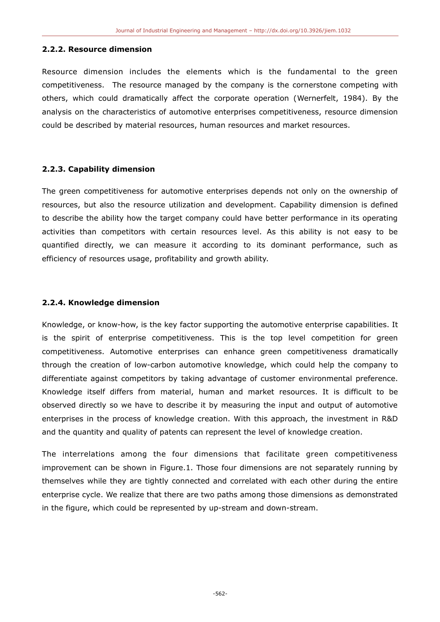## **2.2.2. Resource dimension**

Resource dimension includes the elements which is the fundamental to the green competitiveness. The resource managed by the company is the cornerstone competing with others, which could dramatically affect the corporate operation (Wernerfelt, 1984). By the analysis on the characteristics of automotive enterprises competitiveness, resource dimension could be described by material resources, human resources and market resources.

## **2.2.3. Capability dimension**

The green competitiveness for automotive enterprises depends not only on the ownership of resources, but also the resource utilization and development. Capability dimension is defined to describe the ability how the target company could have better performance in its operating activities than competitors with certain resources level. As this ability is not easy to be quantified directly, we can measure it according to its dominant performance, such as efficiency of resources usage, profitability and growth ability.

## **2.2.4. Knowledge dimension**

Knowledge, or know-how, is the key factor supporting the automotive enterprise capabilities. It is the spirit of enterprise competitiveness. This is the top level competition for green competitiveness. Automotive enterprises can enhance green competitiveness dramatically through the creation of low-carbon automotive knowledge, which could help the company to differentiate against competitors by taking advantage of customer environmental preference. Knowledge itself differs from material, human and market resources. It is difficult to be observed directly so we have to describe it by measuring the input and output of automotive enterprises in the process of knowledge creation. With this approach, the investment in R&D and the quantity and quality of patents can represent the level of knowledge creation.

The interrelations among the four dimensions that facilitate green competitiveness improvement can be shown in Figure.1. Those four dimensions are not separately running by themselves while they are tightly connected and correlated with each other during the entire enterprise cycle. We realize that there are two paths among those dimensions as demonstrated in the figure, which could be represented by up-stream and down-stream.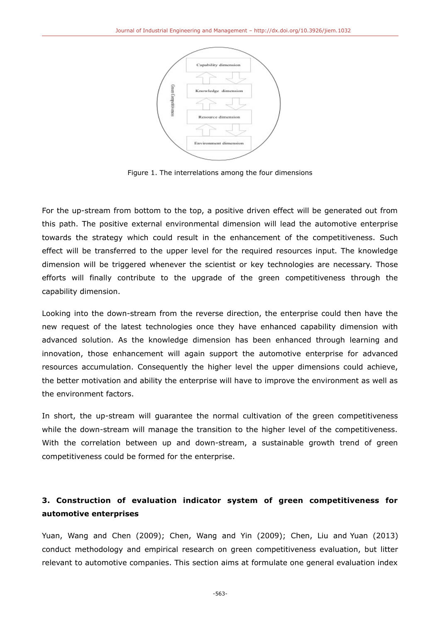

Figure 1. The interrelations among the four dimensions

For the up-stream from bottom to the top, a positive driven effect will be generated out from this path. The positive external environmental dimension will lead the automotive enterprise towards the strategy which could result in the enhancement of the competitiveness. Such effect will be transferred to the upper level for the required resources input. The knowledge dimension will be triggered whenever the scientist or key technologies are necessary. Those efforts will finally contribute to the upgrade of the green competitiveness through the capability dimension.

Looking into the down-stream from the reverse direction, the enterprise could then have the new request of the latest technologies once they have enhanced capability dimension with advanced solution. As the knowledge dimension has been enhanced through learning and innovation, those enhancement will again support the automotive enterprise for advanced resources accumulation. Consequently the higher level the upper dimensions could achieve, the better motivation and ability the enterprise will have to improve the environment as well as the environment factors.

In short, the up-stream will guarantee the normal cultivation of the green competitiveness while the down-stream will manage the transition to the higher level of the competitiveness. With the correlation between up and down-stream, a sustainable growth trend of green competitiveness could be formed for the enterprise.

# **3. Construction of evaluation indicator system of green competitiveness for automotive enterprises**

Yuan, Wang and Chen (2009); Chen, Wang and Yin (2009); Chen, Liu and Yuan (2013) conduct methodology and empirical research on green competitiveness evaluation, but litter relevant to automotive companies. This section aims at formulate one general evaluation index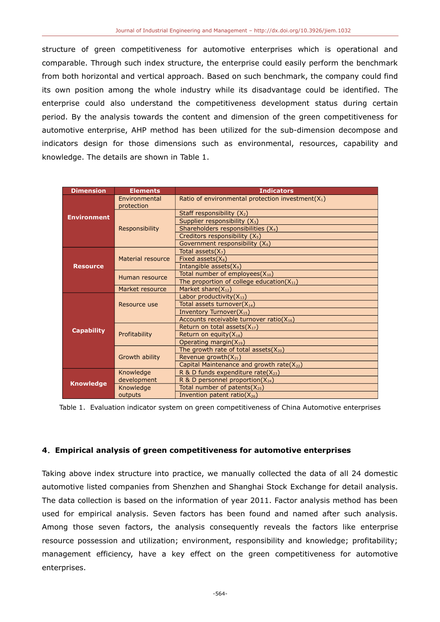structure of green competitiveness for automotive enterprises which is operational and comparable. Through such index structure, the enterprise could easily perform the benchmark from both horizontal and vertical approach. Based on such benchmark, the company could find its own position among the whole industry while its disadvantage could be identified. The enterprise could also understand the competitiveness development status during certain period. By the analysis towards the content and dimension of the green competitiveness for automotive enterprise, AHP method has been utilized for the sub-dimension decompose and indicators design for those dimensions such as environmental, resources, capability and knowledge. The details are shown in Table 1.

| <b>Dimension</b>   | <b>Elements</b>             | <b>Indicators</b>                                    |  |  |  |
|--------------------|-----------------------------|------------------------------------------------------|--|--|--|
|                    | Environmental<br>protection | Ratio of environmental protection investment $(X_1)$ |  |  |  |
| <b>Environment</b> |                             | Staff responsibility $(X_2)$                         |  |  |  |
|                    |                             | Supplier responsibility (X <sub>3</sub> )            |  |  |  |
|                    | Responsibility              | Shareholders responsibilities (X <sub>4</sub> )      |  |  |  |
|                    |                             | Creditors responsibility (X <sub>5</sub> )           |  |  |  |
|                    |                             | Government responsibility $(X_6)$                    |  |  |  |
|                    |                             | Total assets $(X_7)$                                 |  |  |  |
|                    | Material resource           | Fixed assets $(X_8)$                                 |  |  |  |
| <b>Resource</b>    |                             | Intangible assets(X <sub>9</sub> )                   |  |  |  |
|                    | Human resource              | Total number of employees $(X_{10})$                 |  |  |  |
|                    |                             | The proportion of college education( $X_{11}$ )      |  |  |  |
|                    | Market resource             | Market share(X <sub>12</sub> )                       |  |  |  |
|                    |                             | Labor productivity $(X_{13})$                        |  |  |  |
|                    | Resource use                | Total assets turnover $(X_{14})$                     |  |  |  |
|                    |                             | Inventory Turnover(X <sub>15</sub> )                 |  |  |  |
|                    |                             | Accounts receivable turnover ratio( $X_{16}$ )       |  |  |  |
| <b>Capability</b>  |                             | Return on total assets $(X_{17})$                    |  |  |  |
|                    | Profitability               | Return on equity $(X_{18})$                          |  |  |  |
|                    |                             | Operating margin(X <sub>19</sub> )                   |  |  |  |
|                    | Growth ability              | The growth rate of total assets $(X_{20})$           |  |  |  |
|                    |                             | Revenue growth $(X_{21})$                            |  |  |  |
|                    |                             | Capital Maintenance and growth rate(X22)             |  |  |  |
|                    | Knowledge                   | R & D funds expenditure rate( $X_{23}$ )             |  |  |  |
| <b>Knowledge</b>   | development                 | R & D personnel proportion(X24)                      |  |  |  |
|                    | Knowledge                   | Total number of patents( $X_{25}$ )                  |  |  |  |
|                    | outputs                     | Invention patent ratio( $X_{26}$ )                   |  |  |  |

Table 1. Evaluation indicator system on green competitiveness of China Automotive enterprises

## **4**.**Empirical analysis of green competitiveness for automotive enterprises**

Taking above index structure into practice, we manually collected the data of all 24 domestic automotive listed companies from Shenzhen and Shanghai Stock Exchange for detail analysis. The data collection is based on the information of year 2011. Factor analysis method has been used for empirical analysis. Seven factors has been found and named after such analysis. Among those seven factors, the analysis consequently reveals the factors like enterprise resource possession and utilization; environment, responsibility and knowledge; profitability; management efficiency, have a key effect on the green competitiveness for automotive enterprises.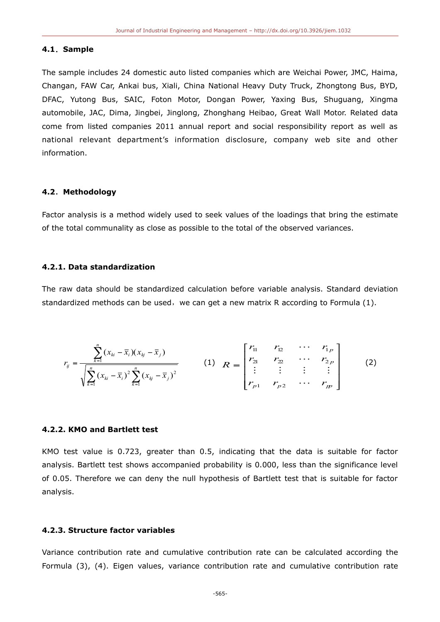#### **4.1**.**Sample**

The sample includes 24 domestic auto listed companies which are Weichai Power, JMC, Haima, Changan, FAW Car, Ankai bus, Xiali, China National Heavy Duty Truck, Zhongtong Bus, BYD, DFAC, Yutong Bus, SAIC, Foton Motor, Dongan Power, Yaxing Bus, Shuguang, Xingma automobile, JAC, Dima, Jingbei, Jinglong, Zhonghang Heibao, Great Wall Motor. Related data come from listed companies 2011 annual report and social responsibility report as well as national relevant department's information disclosure, company web site and other information.

#### **4.2**.**Methodology**

Factor analysis is a method widely used to seek values of the loadings that bring the estimate of the total communality as close as possible to the total of the observed variances.

#### **4.2.1. Data standardization**

The raw data should be standardized calculation before variable analysis. Standard deviation standardized methods can be used, we can get a new matrix R according to Formula (1).

$$
r_{ij} = \frac{\sum_{k=1}^{n} (x_{ki} - \bar{x}_i)(x_{kj} - \bar{x}_j)}{\sqrt{\sum_{k=1}^{n} (x_{ki} - \bar{x}_i)^2 \sum_{k=1}^{n} (x_{kj} - \bar{x}_j)^2}}
$$
 (1)  $R = \begin{bmatrix} r_{11} & r_{12} & \cdots & r_{1p} \\ r_{21} & r_{22} & \cdots & r_{2p} \\ \vdots & \vdots & \vdots & \vdots \\ r_{p1} & r_{p2} & \cdots & r_{qp} \end{bmatrix}$  (2)

#### **4.2.2. KMO and Bartlett test**

KMO test value is 0.723, greater than 0.5, indicating that the data is suitable for factor analysis. Bartlett test shows accompanied probability is 0.000, less than the significance level of 0.05. Therefore we can deny the null hypothesis of Bartlett test that is suitable for factor analysis.

## **4.2.3. Structure factor variables**

Variance contribution rate and cumulative contribution rate can be calculated according the Formula (3), (4). Eigen values, variance contribution rate and cumulative contribution rate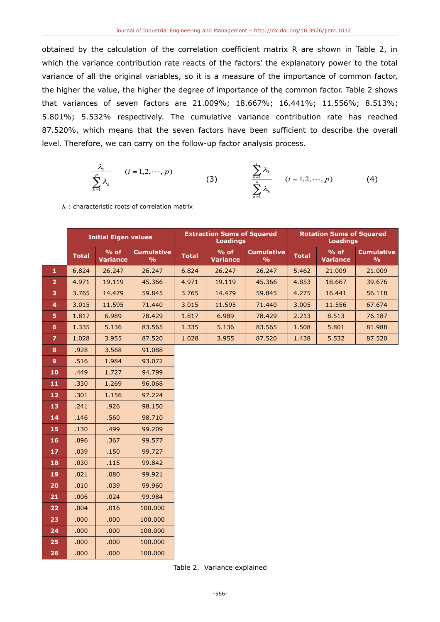obtained by the calculation of the correlation coefficient matrix R are shown in Table 2, in which the variance contribution rate reacts of the factors' the explanatory power to the total variance of all the original variables, so it is a measure of the importance of common factor, the higher the value, the higher the degree of importance of the common factor. Table 2 shows that variances of seven factors are 21.009%; 18.667%; 16.441%; 11.556%; 8.513%; 5.801%; 5.532% respectively. The cumulative variance contribution rate has reached 87.520%, which means that the seven factors have been sufficient to describe the overall level. Therefore, we can carry on the follow-up factor analysis process.

$$
\frac{\lambda_i}{\sum_{k=1}^p \lambda_k} \qquad (i = 1, 2, \cdots, p) \qquad (3) \qquad \frac{\sum_{k=1}^i \lambda_k}{\sum_{k=1}^p \lambda_k} \qquad (i = 1, 2, \cdots, p) \qquad (4)
$$

λi : characteristic roots of correlation matrix

|                | <b>Initial Eigen values</b> |                           |                                    |              | <b>Extraction Sums of Squared</b><br><b>Loadings</b> |                                    | <b>Rotation Sums of Squared</b><br><b>Loadings</b> |                           |                                    |  |
|----------------|-----------------------------|---------------------------|------------------------------------|--------------|------------------------------------------------------|------------------------------------|----------------------------------------------------|---------------------------|------------------------------------|--|
|                | <b>Total</b>                | $%$ of<br><b>Variance</b> | <b>Cumulative</b><br>$\frac{0}{0}$ | <b>Total</b> | $%$ of<br><b>Variance</b>                            | <b>Cumulative</b><br>$\frac{9}{6}$ | <b>Total</b>                                       | $%$ of<br><b>Variance</b> | <b>Cumulative</b><br>$\frac{9}{6}$ |  |
| $\mathbf{1}$   | 6.824                       | 26.247                    | 26.247                             | 6.824        | 26.247                                               | 26.247                             | 5.462                                              | 21.009                    | 21.009                             |  |
| $\overline{2}$ | 4.971                       | 19.119                    | 45.366                             | 4.971        | 19.119                                               | 45.366                             | 4.853                                              | 18.667                    | 39.676                             |  |
| 3              | 3.765                       | 14.479                    | 59.845                             | 3.765        | 14.479                                               | 59.845                             | 4.275                                              | 16.441                    | 56.118                             |  |
| 4              | 3.015                       | 11.595                    | 71.440                             | 3.015        | 11.595                                               | 71.440                             | 3.005                                              | 11.556                    | 67.674                             |  |
| 5              | 1.817                       | 6.989                     | 78.429                             | 1.817        | 6.989                                                | 78.429                             | 2.213                                              | 8.513                     | 76.187                             |  |
| 6              | 1.335                       | 5.136                     | 83.565                             | 1.335        | 5.136                                                | 83.565                             | 1.508                                              | 5.801                     | 81.988                             |  |
| $\overline{z}$ | 1.028                       | 3.955                     | 87.520                             | 1.028        | 3.955                                                | 87.520                             | 1.438                                              | 5.532                     | 87.520                             |  |
| 8              | .928                        | 3.568                     | 91.088                             |              |                                                      |                                    |                                                    |                           |                                    |  |
| 9 <sup>°</sup> | .516                        | 1.984                     | 93.072                             |              |                                                      |                                    |                                                    |                           |                                    |  |
| 10             | .449                        | 1.727                     | 94.799                             |              |                                                      |                                    |                                                    |                           |                                    |  |
| 11             | .330                        | 1.269                     | 96.068                             |              |                                                      |                                    |                                                    |                           |                                    |  |
| 12             | .301                        | 1.156                     | 97.224                             |              |                                                      |                                    |                                                    |                           |                                    |  |
| 13             | .241                        | .926                      | 98.150                             |              |                                                      |                                    |                                                    |                           |                                    |  |
| 14             | .146                        | .560                      | 98.710                             |              |                                                      |                                    |                                                    |                           |                                    |  |
| 15             | .130                        | .499                      | 99.209                             |              |                                                      |                                    |                                                    |                           |                                    |  |
| 16             | .096                        | .367                      | 99.577                             |              |                                                      |                                    |                                                    |                           |                                    |  |
| 17             | .039                        | .150                      | 99.727                             |              |                                                      |                                    |                                                    |                           |                                    |  |
| 18             | .030                        | .115                      | 99.842                             |              |                                                      |                                    |                                                    |                           |                                    |  |
| 19             | .021                        | .080                      | 99.921                             |              |                                                      |                                    |                                                    |                           |                                    |  |
| 20             | .010                        | .039                      | 99.960                             |              |                                                      |                                    |                                                    |                           |                                    |  |
| 21             | .006                        | .024                      | 99.984                             |              |                                                      |                                    |                                                    |                           |                                    |  |
| 22             | .004                        | .016                      | 100.000                            |              |                                                      |                                    |                                                    |                           |                                    |  |
| 23             | .000                        | .000                      | 100.000                            |              |                                                      |                                    |                                                    |                           |                                    |  |
| 24             | .000                        | .000                      | 100.000                            |              |                                                      |                                    |                                                    |                           |                                    |  |
| 25             | .000                        | .000                      | 100.000                            |              |                                                      |                                    |                                                    |                           |                                    |  |
| 26             | .000                        | .000                      | 100.000                            |              |                                                      |                                    |                                                    |                           |                                    |  |

Table 2. Variance explained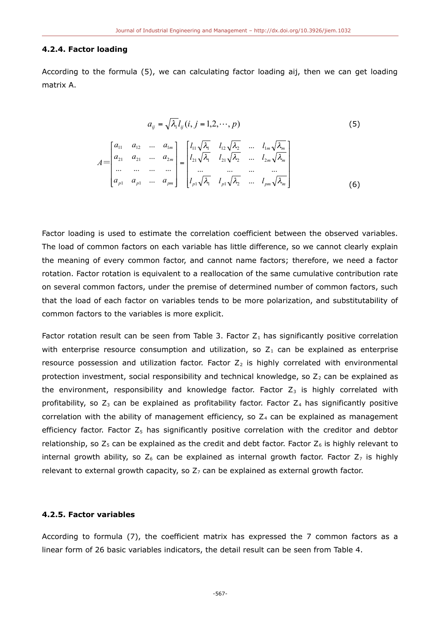#### **4.2.4. Factor loading**

According to the formula (5), we can calculating factor loading aij, then we can get loading matrix A.

$$
a_{ij} = \sqrt{\lambda_i} l_{ij} (i, j = 1, 2, \cdots, p)
$$
 (5)

$$
A = \begin{bmatrix} a_{11} & a_{12} & \dots & a_{1m} \\ a_{21} & a_{21} & \dots & a_{2m} \\ \dots & \dots & \dots & \dots \\ a_{p1} & a_{p1} & \dots & a_{pm} \end{bmatrix} = \begin{bmatrix} l_{11} \sqrt{\lambda_1} & l_{12} \sqrt{\lambda_2} & \dots & l_{1m} \sqrt{\lambda_m} \\ l_{21} \sqrt{\lambda_1} & l_{21} \sqrt{\lambda_2} & \dots & l_{2m} \sqrt{\lambda_m} \\ \dots & \dots & \dots & \dots \\ l_{p1} \sqrt{\lambda_1} & l_{p1} \sqrt{\lambda_2} & \dots & l_{pm} \sqrt{\lambda_m} \end{bmatrix}
$$
(6)

Factor loading is used to estimate the correlation coefficient between the observed variables. The load of common factors on each variable has little difference, so we cannot clearly explain the meaning of every common factor, and cannot name factors; therefore, we need a factor rotation. Factor rotation is equivalent to a reallocation of the same cumulative contribution rate on several common factors, under the premise of determined number of common factors, such that the load of each factor on variables tends to be more polarization, and substitutability of common factors to the variables is more explicit.

Factor rotation result can be seen from Table 3. Factor  $Z_1$  has significantly positive correlation with enterprise resource consumption and utilization, so  $Z_1$  can be explained as enterprise resource possession and utilization factor. Factor  $Z_2$  is highly correlated with environmental protection investment, social responsibility and technical knowledge, so  $Z_2$  can be explained as the environment, responsibility and knowledge factor. Factor  $Z_3$  is highly correlated with profitability, so  $Z_3$  can be explained as profitability factor. Factor  $Z_4$  has significantly positive correlation with the ability of management efficiency, so  $Z_4$  can be explained as management efficiency factor. Factor  $Z_5$  has significantly positive correlation with the creditor and debtor relationship, so  $Z_5$  can be explained as the credit and debt factor. Factor  $Z_6$  is highly relevant to internal growth ability, so  $Z_6$  can be explained as internal growth factor. Factor  $Z_7$  is highly relevant to external growth capacity, so  $Z_7$  can be explained as external growth factor.

## **4.2.5. Factor variables**

According to formula (7), the coefficient matrix has expressed the 7 common factors as a linear form of 26 basic variables indicators, the detail result can be seen from Table 4.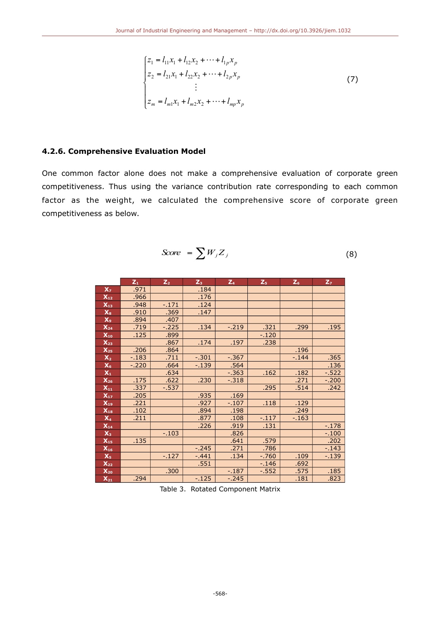$$
\begin{cases}\nz_1 = l_{11}x_1 + l_{12}x_2 + \cdots + l_{1p}x_p \\
z_2 = l_{21}x_1 + l_{22}x_2 + \cdots + l_{2p}x_p \\
\vdots \\
z_m = l_{m1}x_1 + l_{m2}x_2 + \cdots + l_{mp}x_p\n\end{cases}
$$
\n(7)

## **4.2.6. Comprehensive Evaluation Model**

One common factor alone does not make a comprehensive evaluation of corporate green competitiveness. Thus using the variance contribution rate corresponding to each common factor as the weight, we calculated the comprehensive score of corporate green competitiveness as below.

$$
Score = \sum W_j Z_j \tag{8}
$$

|                              | $Z_{1}$ | $Z_{2}$ | $Z_{3}$  | $Z_4$    | $Z_{5}$  | $Z_6$  | $Z_{7}$  |
|------------------------------|---------|---------|----------|----------|----------|--------|----------|
| X <sub>7</sub>               | .971    |         | .184     |          |          |        |          |
| $X_{12}$                     | .966    |         | .176     |          |          |        |          |
| $X_{13}$                     | .948    | $-171$  | .124     |          |          |        |          |
| $X_{8}$                      | .910    | .369    | .147     |          |          |        |          |
| X <sub>9</sub>               | .894    | .407    |          |          |          |        |          |
| $X_{24}$                     | .719    | $-.225$ | .134     | $-0.219$ | .321     | .299   | .195     |
| $X_{10}$                     | .125    | .899    |          |          | $-.120$  |        |          |
| $X_{23}$                     |         | .867    | .174     | .197     | .238     |        |          |
| $X_{25}$                     | .206    | .864    |          |          |          | .196   |          |
| $X_2$                        | $-183$  | .711    | $-.301$  | $-.367$  |          | $-144$ | .365     |
| X <sub>6</sub>               | $-.220$ | .664    | $-139$   | .564     |          |        | .136     |
| $X_1$                        |         | .634    |          | $-0.363$ | .162     | .182   | $-0.522$ |
| $X_{26}$                     | .175    | .622    | .230     | $-.318$  |          | .271   | $-.200$  |
| $X_{11}$                     | .337    | $-537$  |          |          | .295     | .514   | .242     |
| $X_{17}$                     | .205    |         | .935     | .169     |          |        |          |
| $X_{19}$                     | .221    |         | .927     | $-.107$  | .118     | .129   |          |
| $X_{18}$                     | .102    |         | .894     | .198     |          | .249   |          |
| $X_4$                        | .211    |         | .877     | .108     | $-117$   | $-163$ |          |
| $X_{14}$                     |         |         | .226     | .919     | .131     |        | $-.178$  |
| $X_3$                        |         | $-103$  |          | .826     |          |        | $-.100$  |
| $X_{15}$                     | .135    |         |          | .641     | .579     |        | .202     |
| $X_{16}$                     |         |         | $-245$   | .271     | .786     |        | $-0.143$ |
| X <sub>5</sub>               |         | $-.127$ | $-0.441$ | .134     | $-0.760$ | .109   | $-139$   |
| $X_{22}$                     |         |         | .551     |          | $-146$   | .692   |          |
| $\overline{\mathbf{X}_{20}}$ |         | .300    |          | $-187$   | $-0.552$ | .575   | .185     |
| $X_{21}$                     | .294    |         | $-125$   | $-245$   |          | .181   | .823     |

Table 3. Rotated Component Matrix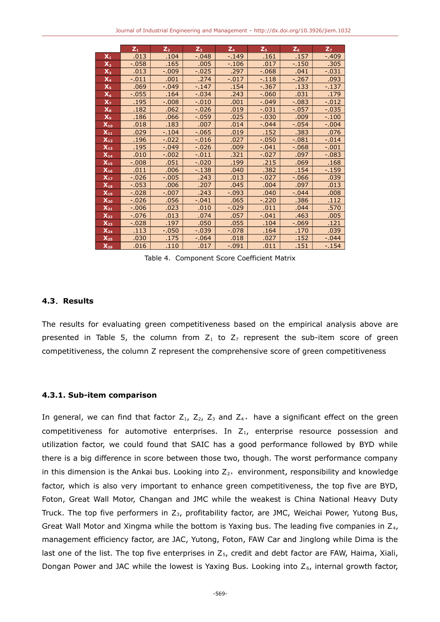|                                     | $Z_1$    | $\overline{Z_2}$ | $Z_3$    | $Z_4$   | $Z_{5}$  | $Z_6$    | Z <sub>7</sub> |
|-------------------------------------|----------|------------------|----------|---------|----------|----------|----------------|
| $X_1$                               | .013     | .104             | $-.048$  | $-.149$ | .161     | .157     | $-0.409$       |
| $\mathsf{X}_2$                      | $-.058$  | .165             | .005     | $-.106$ | .017     | $-.150$  | .305           |
| $\mathsf{X}_3$                      | .013     | $-.009$          | $-.025$  | .297    | $-0.68$  | .041     | $-.031$        |
| $\mathsf{X}_4$                      | $-.011$  | .001             | .274     | $-.017$ | $-.118$  | $-0.267$ | .093           |
| $X_{5}$                             | .069     | $-.049$          | $-147$   | .154    | $-0.367$ | .133     | $-137$         |
| $\mathsf{X}_6$                      | $-0.55$  | .164             | $-.034$  | .243    | $-.060$  | .031     | .179           |
| $\mathbf{x}_7$                      | .195     | $-0.008$         | $-.010$  | .001    | $-.049$  | $-.083$  | $-.012$        |
| $\mathbf{X}_8$                      | .182     | .062             | $-0.026$ | .019    | $-0.31$  | $-0.57$  | $-0.035$       |
| X <sub>9</sub>                      | .186     | .066             | $-.059$  | .025    | $-.030$  | .009     | $-100$         |
| $X_{10}$                            | .018     | .183             | .007     | .014    | $-.044$  | $-.054$  | $-.004$        |
| $\mathsf{X}_{\mathtt{1}\mathtt{1}}$ | .029     | $-104$           | $-0.065$ | .019    | .152     | .383     | .076           |
| $X_{12}$                            | .196     | $-.022$          | $-.016$  | .027    | $-.050$  | $-.081$  | $-.014$        |
| $X_{13}$                            | .195     | $-.049$          | $-0.026$ | .009    | $-0.041$ | $-0.68$  | $-.001$        |
| $\mathsf{X}_{\mathsf{14}}$          | .010     | $-.002$          | $-.011$  | .321    | $-.027$  | .097     | $-0.083$       |
| $X_{15}$                            | $-0.008$ | .051             | $-.020$  | .199    | .215     | .069     | .168           |
| $X_{16}$                            | .011     | .006             | $-138$   | .040    | .382     | .154     | $-159$         |
| $\mathsf{X}_{17}$                   | $-0.026$ | $-.005$          | .243     | .013    | $-.027$  | $-0.66$  | .039           |
| $X_{18}$                            | $-.053$  | .006             | .207     | .045    | .004     | .097     | .013           |
| $X_{19}$                            | $-.028$  | $-.007$          | .243     | $-.093$ | .040     | $-.044$  | .008           |
| $X_{20}$                            | $-0.026$ | .056             | $-041$   | .065    | $-.220$  | .386     | .112           |
| $X_{21}$                            | $-0.006$ | .023             | .010     | $-.029$ | .011     | .044     | .570           |
| $X_{22}$                            | $-.076$  | .013             | .074     | .057    | $-0.041$ | .463     | .005           |
| $X_{23}$                            | $-.028$  | .197             | .050     | .055    | .104     | $-0.69$  | .121           |
| $X_{24}$                            | .113     | $-.050$          | $-0.39$  | $-.078$ | .164     | .170     | .039           |
| $X_{25}$                            | .030     | .175             | $-064$   | .018    | .027     | .152     | $-.044$        |
| $X_{26}$                            | .016     | .110             | .017     | $-.091$ | .011     | .151     | $-154$         |

Table 4. Component Score Coefficient Matrix

#### **4.3**.**Results**

The results for evaluating green competitiveness based on the empirical analysis above are presented in Table 5, the column from  $Z_1$  to  $Z_7$  represent the sub-item score of green competitiveness, the column Z represent the comprehensive score of green competitiveness

#### **4.3.1. Sub-item comparison**

In general, we can find that factor  $Z_1$ ,  $Z_2$ ,  $Z_3$  and  $Z_4$ , have a significant effect on the green competitiveness for automotive enterprises. In  $Z_{1}$ , enterprise resource possession and utilization factor, we could found that SAIC has a good performance followed by BYD while there is a big difference in score between those two, though. The worst performance company in this dimension is the Ankai bus. Looking into  $Z_2$ , environment, responsibility and knowledge factor, which is also very important to enhance green competitiveness, the top five are BYD, Foton, Great Wall Motor, Changan and JMC while the weakest is China National Heavy Duty Truck. The top five performers in  $Z_3$ , profitability factor, are JMC, Weichai Power, Yutong Bus, Great Wall Motor and Xingma while the bottom is Yaxing bus. The leading five companies in  $Z_4$ , management efficiency factor, are JAC, Yutong, Foton, FAW Car and Jinglong while Dima is the last one of the list. The top five enterprises in  $Z_5$ , credit and debt factor are FAW, Haima, Xiali, Dongan Power and JAC while the lowest is Yaxing Bus. Looking into  $Z_6$ , internal growth factor,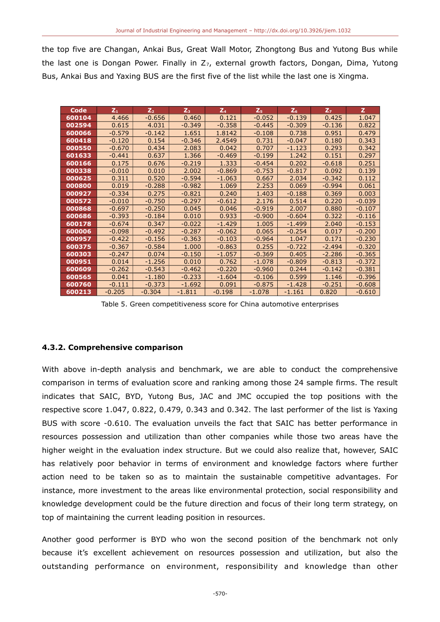the top five are Changan, Ankai Bus, Great Wall Motor, Zhongtong Bus and Yutong Bus while the last one is Dongan Power. Finally in  $Z_7$ , external growth factors, Dongan, Dima, Yutong Bus, Ankai Bus and Yaxing BUS are the first five of the list while the last one is Xingma.

| Code   | $Z_1$    | $Z_{2}$  | $Z_3$    | $Z_4$    | $Z_{5}$  | Z <sub>6</sub> | Z <sub>7</sub> | $\mathbf{z}$ |
|--------|----------|----------|----------|----------|----------|----------------|----------------|--------------|
| 600104 | 4.466    | $-0.656$ | 0.460    | 0.121    | $-0.052$ | $-0.139$       | 0.425          | 1.047        |
| 002594 | 0.615    | 4.031    | $-0.349$ | $-0.358$ | $-0.445$ | $-0.309$       | $-0.136$       | 0.822        |
| 600066 | $-0.579$ | $-0.142$ | 1.651    | 1.8142   | $-0.108$ | 0.738          | 0.951          | 0.479        |
| 600418 | $-0.120$ | 0.154    | $-0.346$ | 2.4549   | 0.731    | $-0.047$       | 0.180          | 0.343        |
| 000550 | $-0.670$ | 0.434    | 2.083    | 0.042    | 0.707    | $-1.123$       | 0.293          | 0.342        |
| 601633 | $-0.441$ | 0.637    | 1.366    | $-0.469$ | $-0.199$ | 1.242          | 0.151          | 0.297        |
| 600166 | 0.175    | 0.676    | $-0.219$ | 1.333    | $-0.454$ | 0.202          | $-0.618$       | 0.251        |
| 000338 | $-0.010$ | 0.010    | 2.002    | $-0.869$ | $-0.753$ | $-0.817$       | 0.092          | 0.139        |
| 000625 | 0.311    | 0.520    | $-0.594$ | $-1.063$ | 0.667    | 2.034          | $-0.342$       | 0.112        |
| 000800 | 0.019    | $-0.288$ | $-0.982$ | 1.069    | 2.253    | 0.069          | $-0.994$       | 0.061        |
| 000927 | $-0.334$ | 0.275    | $-0.821$ | 0.240    | 1.403    | $-0.188$       | 0.369          | 0.003        |
| 000572 | $-0.010$ | $-0.750$ | $-0.297$ | $-0.612$ | 2.176    | 0.514          | 0.220          | $-0.039$     |
| 000868 | $-0.697$ | $-0.250$ | 0.045    | 0.046    | $-0.919$ | 2.007          | 0.880          | $-0.107$     |
| 600686 | $-0.393$ | $-0.184$ | 0.010    | 0.933    | $-0.900$ | $-0.604$       | 0.322          | $-0.116$     |
| 600178 | $-0.674$ | 0.347    | $-0.022$ | $-1.429$ | 1.005    | $-1.499$       | 2.040          | $-0.153$     |
| 600006 | $-0.098$ | $-0.492$ | $-0.287$ | $-0.062$ | 0.065    | $-0.254$       | 0.017          | $-0.200$     |
| 000957 | $-0.422$ | $-0.156$ | $-0.363$ | $-0.103$ | $-0.964$ | 1.047          | 0.171          | $-0.230$     |
| 600375 | $-0.367$ | $-0.584$ | 1.000    | $-0.863$ | 0.255    | $-0.722$       | $-2.494$       | $-0.320$     |
| 600303 | $-0.247$ | 0.074    | $-0.150$ | $-1.057$ | $-0.369$ | 0.405          | $-2.286$       | $-0.365$     |
| 000951 | 0.014    | $-1.256$ | 0.010    | 0.762    | $-1.078$ | $-0.809$       | $-0.813$       | $-0.372$     |
| 600609 | $-0.262$ | $-0.543$ | $-0.462$ | $-0.220$ | $-0.960$ | 0.244          | $-0.142$       | $-0.381$     |
| 600565 | 0.041    | $-1.180$ | $-0.233$ | $-1.604$ | $-0.106$ | 0.599          | 1.146          | $-0.396$     |
| 600760 | $-0.111$ | $-0.373$ | $-1.692$ | 0.091    | $-0.875$ | $-1.428$       | $-0.251$       | $-0.608$     |
| 600213 | $-0.205$ | $-0.304$ | $-1.811$ | $-0.198$ | $-1.078$ | $-1.161$       | 0.820          | $-0.610$     |
|        |          |          |          |          |          |                |                |              |

Table 5. Green competitiveness score for China automotive enterprises

## **4.3.2. Comprehensive comparison**

With above in-depth analysis and benchmark, we are able to conduct the comprehensive comparison in terms of evaluation score and ranking among those 24 sample firms. The result indicates that SAIC, BYD, Yutong Bus, JAC and JMC occupied the top positions with the respective score 1.047, 0.822, 0.479, 0.343 and 0.342. The last performer of the list is Yaxing BUS with score -0.610. The evaluation unveils the fact that SAIC has better performance in resources possession and utilization than other companies while those two areas have the higher weight in the evaluation index structure. But we could also realize that, however, SAIC has relatively poor behavior in terms of environment and knowledge factors where further action need to be taken so as to maintain the sustainable competitive advantages. For instance, more investment to the areas like environmental protection, social responsibility and knowledge development could be the future direction and focus of their long term strategy, on top of maintaining the current leading position in resources.

Another good performer is BYD who won the second position of the benchmark not only because it's excellent achievement on resources possession and utilization, but also the outstanding performance on environment, responsibility and knowledge than other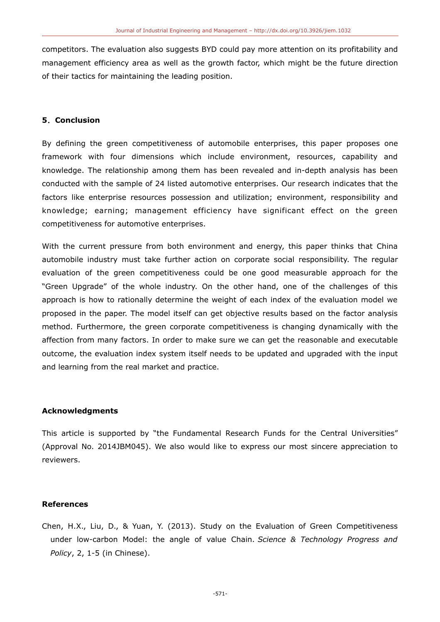competitors. The evaluation also suggests BYD could pay more attention on its profitability and management efficiency area as well as the growth factor, which might be the future direction of their tactics for maintaining the leading position.

#### **5**.**Conclusion**

By defining the green competitiveness of automobile enterprises, this paper proposes one framework with four dimensions which include environment, resources, capability and knowledge. The relationship among them has been revealed and in-depth analysis has been conducted with the sample of 24 listed automotive enterprises. Our research indicates that the factors like enterprise resources possession and utilization; environment, responsibility and knowledge; earning; management efficiency have significant effect on the green competitiveness for automotive enterprises.

With the current pressure from both environment and energy, this paper thinks that China automobile industry must take further action on corporate social responsibility. The regular evaluation of the green competitiveness could be one good measurable approach for the "Green Upgrade" of the whole industry. On the other hand, one of the challenges of this approach is how to rationally determine the weight of each index of the evaluation model we proposed in the paper. The model itself can get objective results based on the factor analysis method. Furthermore, the green corporate competitiveness is changing dynamically with the affection from many factors. In order to make sure we can get the reasonable and executable outcome, the evaluation index system itself needs to be updated and upgraded with the input and learning from the real market and practice.

#### **Acknowledgments**

This article is supported by "the Fundamental Research Funds for the Central Universities" (Approval No. 2014JBM045). We also would like to express our most sincere appreciation to reviewers.

## **References**

Chen, H.X., Liu, D., & Yuan, Y. (2013). Study on the Evaluation of Green Competitiveness under low-carbon Model: the angle of value Chain. *Science & Technology Progress and Policy*, 2, 1-5 (in Chinese).